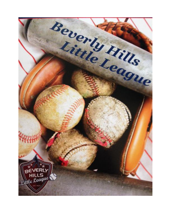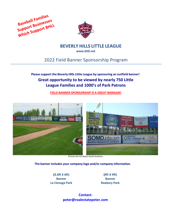



**BEVERLY HILLS LITTLE LEAGUE**

**[www.bhll.net](http://www.bhll.net/)**

# 2022 Field Banner Sponsorship Program

## **Please support the Beverly Hills Little League by sponsoring an outfield banner! Great opportunity to be viewed by nearly 750 Little League Families and 1000's of Park Patrons**

**FIELD BANNER SPONSORSHIP IS A GREAT BARGAIN!**



 **The banner includes your company logo and/or company information.**

**(3.6ft X 6ft) Banner La Cienega Park**

**(4ft X 9ft) Banner Roxbury Park**

**Contact: peter@realestatepeter.com**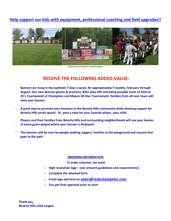### **Help support our kids with equipment, professional coaching and field upgrades!!**



Pictures do not depict actual locations

# **RECEIVE THE FOLLOWING ADDED VALUE:**

- **Banners are hung in the outfields 7-days a week, for approximately 7-months, February through August. Our own division games & practices, BHLL play-offs and being possible hosts of District 25's Tournament of Champions and Majors All-Star Tournament, families from all over town will view your banner.**
- **A great way to promote your business in the Beverly Hills community while showing support for Beverly Hills youth sports! Or, post a note for your favorite player, your child.**
- **Players and their families from Beverly Hills and surrounding neighborhoods will see your banner at every game played where your banner is displayed.**
- **The banners will be seen by people walking, joggers, families at the playground and anyone that goes to the park.**

#### **ORDERINGINFORMATION**

**To order a banner, we need:**

- o **High resolution logo – (see artwork guidelines and requirements)**
- o **Complete the attached form**
- o **Email logo and form to: [peter@realestatepeter.com](mailto:peter@realestatepeter.com)**
- o **You get final approval prior to print**